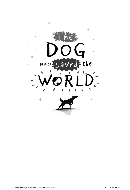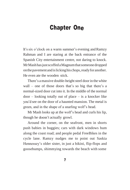## Chapter One

It's six o'clock on a warm summer's evening and Ramzy Rahman and I are staring at the back entrance of the Spanish City entertainment centre, not daring to knock. MrMashhasjustscoffedaMagnumthatsomeonedropped onthepavement andislickinghis chops,readyfor another. He even ate the wooden stick.

There's a massive double-height steel door in the white wall – one of those doors that's so big that there's a normal-sized door cut into it. In the middle of the normal  $door - looking$  totally out of place  $-$  is a knocker like you'd see on the door of a haunted mansion. The metal is green, and in the shape of a snarling wolf's head.

Mr Mash looks up at the wolf's head and curls his lip, though he doesn't actually growl.

Around the corner, on the seafront, men in shorts push babies in buggies; cars with dark windows hum along the coast road; and people pedal FreeBikes in the cycle lane. Ramzy nudges me to point out Saskia Hennessey's older sister, in just a bikini, flip-flops and goosebumps, shimmying towards the beach with some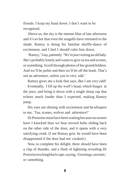friends. I keep my head down: I don't want to be recognised.

Above us, the sky is the intense blue of late afternoon and it's so hot that even the seagulls have retreated to the shade. Ramzy is doing his familiar shuffle-dance of excitement, and I feel I should calm him down.

'Ramzy,'Isay,patiently.'We'rejustvisitinganoldlady. She's probably lonely and wants to give us tea and scones, orsomething. Scroll through photos of her grandchildren. And we'll be polite and then we'll be off the hook. That's *not* an adventure, unless you're very odd.'

Ramzy gives me a look that says, *But I* am *very odd!*

Eventually, I lift up the wolf's head, which hinges at the jaws, and bring it down with a single sharp rap that echoes much louder than I expected, making Ramzy jump.

His eyes are shining with excitement and hewhispers to me, 'Tea, scones, wolves and *adventure*!'

Dr Pretorius must have been waiting because no sooner have I knocked than we hear several bolts sliding back on the other side of the door, and it opens with a very satisfying creak. (I see Ramzy grin: he would have been disappointed if the door had *not* creaked.)

Now, to complete his delight, there *should* have been a clap of thunder, and a flash of lightning revealing Dr Pretorius in a long black cape, saying, 'Greetings, mortals,' or something.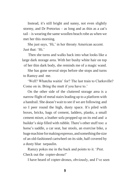Instead, it's still bright and sunny, not even slightly stormy, and Dr Pretorius – as long and as thin as a cat's tail – is wearing the same woollen beach robe as when we met her this morning.

She just says, 'Hi,' in her throaty American accent. Just that: 'Hi.'

Then she turns and walks back into what looks like a large dark storage area. With her bushy white hair on top of her thin dark body, she reminds me of a magic wand.

She has gone several steps before she stops and turns to Ramzy and me.

'Well? Whatcha waitin' for? The last train to Clarksville? Come on in. Bring the mutt if you have to.'

On the other side of the cluttered storage area is a narrow flight of metal stairs leading up to a platform with a handrail. She doesn't wait to see if we are following and so I peer round the high, dusty space. It's piled with boxes, bricks, bags of cement, ladders, planks, a small cement mixer, a leather sofa propped up on its end and a builder's skip filled with rubble. There's other stuff too: a horse's saddle, a car seat, bar stools, an exercise bike, a huge machine for making espresso, and something the size of an old-fashioned cartwheel on its side, half covered by a dusty blue tarpaulin.

Ramzy pokes me in the back and points to it. '*Psst*. Check out the copter-drone!'

I have heard of copter-drones, obviously, and I've seen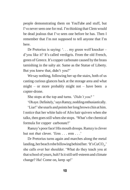people demonstrating them on YouTube and stuff, but I've never seen one for real. I'm thinking that Clem would be dead jealous that I've seen one before he has. Then I remember that I'm not supposed to tell anyone that I'm here.

Dr Pretorius is saying: '... my green wolf knocker – d'you like it? It's called verdigris*.* From the old French, green of Greece*.* It's copper carbonate caused by the brass tarnishing in the salty air. Same as the Statue of Liberty. But you knew that, didn't you?'

We say nothing, following her up the stairs, both of us casting curious glances back at the storage area and what might – or more probably might not – have been a copter-drone.

She stops at the top and turns. '*Didn't you?* '

'Ohaye.Definitely,'saysRamzy,noddingenthusiastically.

'Liar!'she snarls andpointsherlongbrownchinathim. I notice that her white halo of Afro hair quivers when she talks, then goes still when she stops. 'What's the chemical formula for copper carbonate?'

Ramzy'spoorface! Hismouth droops.Ramzyis clever but not *that* clever. 'Erm . . . erm . . .'

Dr Pretorius turns again and marches along the metal landing, her beach robe billowing behind her. 'It's CuCO<sub>3</sub>,' she calls over her shoulder. 'What do they teach you at that school of yours, huh? Is it still self-esteem and climate change? Ha! Come on, keep up!'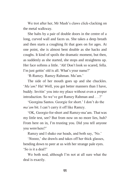We trot after her, Mr Mash's claws click-clacking on the metal walkway.

She halts by a pair of double doors in the centre of a long, curved wall and faces us. She takes a deep breath and then starts a coughing fit that goes on for ages. At one point, she is almost bent double as she hacks and coughs. It kind of spoils the dramatic moment, but then, as suddenly as she started, she stops and straightens up. Her face softens a little. 'Ah! Don't look so scared, fella. I'm just gettin' old is all. What's your name?'

'R-Ramzy. Ramzy Rahman. Ma'am.'

The side of her mouth goes up and she chuckles. '*Ma'am*? Ha! Well, you got better manners than I have, buddy. Invitin' you into my place without even a proper introduction. So we've got Ramzy Rahman and . . .?'

'Georgina Santos. Georgie for short.' I don't do the *ma'am* bit. I can't carry it off like Ramzy.

'OK, Georgie-for-short and Ramzy-ma'am. That was my little test, see? But from now on no more lies, huh? From here on in, I'm trusting you. Did you tell anyone you were here?'

Ramzy and I shake our heads, and both say, 'No.'

'*Noooo*,' she drawls and takes off her thick glasses, bending down to peer at us with her strange pale eyes. 'So is it a deal?'

We both nod, although I'm not at all sure what the deal is exactly.